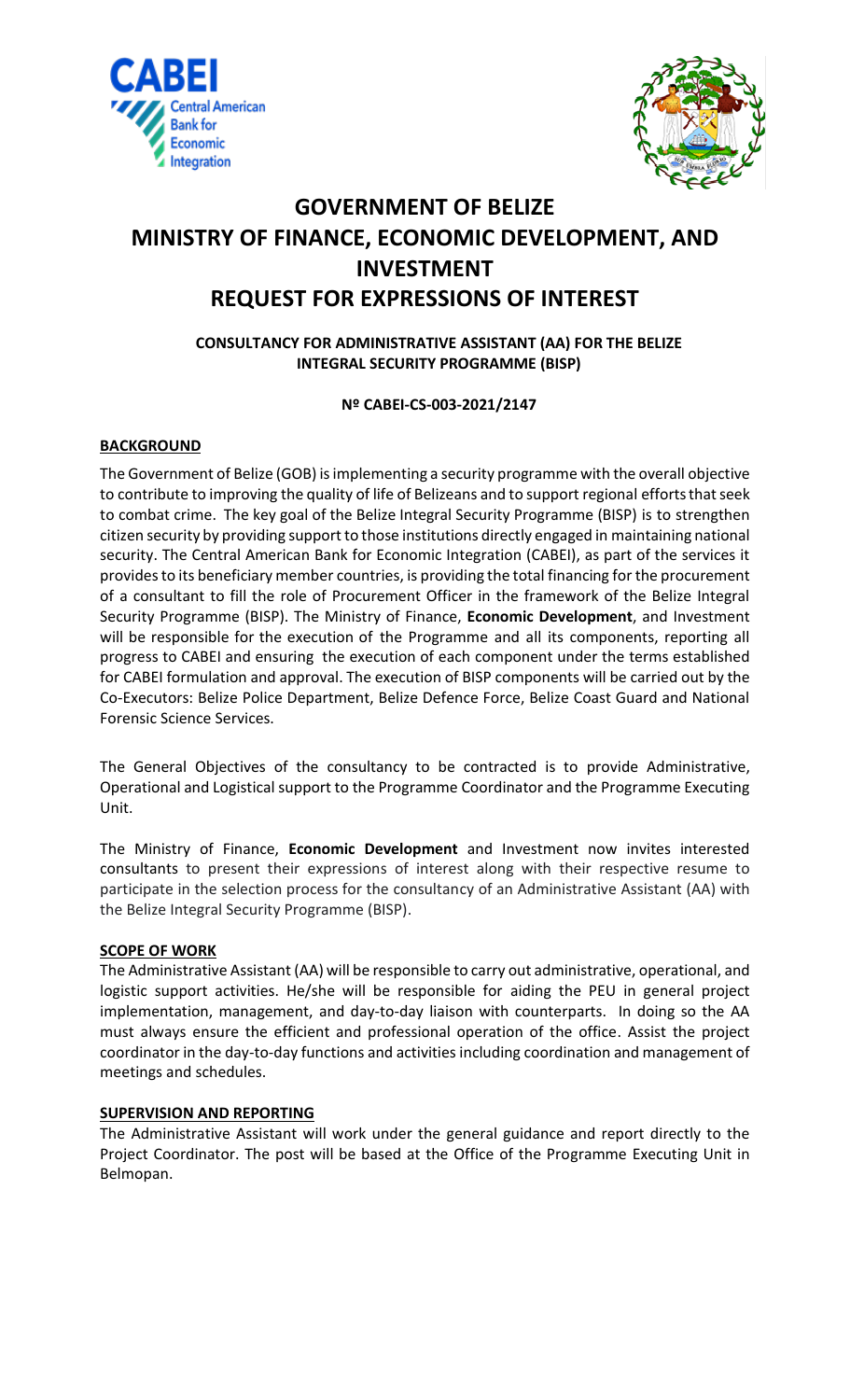



# **GOVERNMENT OF BELIZE MINISTRY OF FINANCE, ECONOMIC DEVELOPMENT, AND INVESTMENT REQUEST FOR EXPRESSIONS OF INTEREST**

# **CONSULTANCY FOR ADMINISTRATIVE ASSISTANT (AA) FOR THE BELIZE INTEGRAL SECURITY PROGRAMME (BISP)**

## **Nº CABEI-CS-003-2021/2147**

# **BACKGROUND**

The Government of Belize (GOB) isimplementing a security programme with the overall objective to contribute to improving the quality of life of Belizeans and to support regional efforts that seek to combat crime. The key goal of the Belize Integral Security Programme (BISP) is to strengthen citizen security by providing support to those institutions directly engaged in maintaining national security. The Central American Bank for Economic Integration (CABEI), as part of the services it provides to its beneficiary member countries, is providing the total financing for the procurement of a consultant to fill the role of Procurement Officer in the framework of the Belize Integral Security Programme (BISP). The Ministry of Finance, **Economic Development**, and Investment will be responsible for the execution of the Programme and all its components, reporting all progress to CABEI and ensuring the execution of each component under the terms established for CABEI formulation and approval. The execution of BISP components will be carried out by the Co-Executors: Belize Police Department, Belize Defence Force, Belize Coast Guard and National Forensic Science Services.

The General Objectives of the consultancy to be contracted is to provide Administrative, Operational and Logistical support to the Programme Coordinator and the Programme Executing Unit.

The Ministry of Finance, **Economic Development** and Investment now invites interested consultants to present their expressions of interest along with their respective resume to participate in the selection process for the consultancy of an Administrative Assistant (AA) with the Belize Integral Security Programme (BISP).

#### **SCOPE OF WORK**

The Administrative Assistant (AA) will be responsible to carry out administrative, operational, and logistic support activities. He/she will be responsible for aiding the PEU in general project implementation, management, and day-to-day liaison with counterparts. In doing so the AA must always ensure the efficient and professional operation of the office. Assist the project coordinator in the day-to-day functions and activities including coordination and management of meetings and schedules.

#### **SUPERVISION AND REPORTING**

The Administrative Assistant will work under the general guidance and report directly to the Project Coordinator. The post will be based at the Office of the Programme Executing Unit in Belmopan.